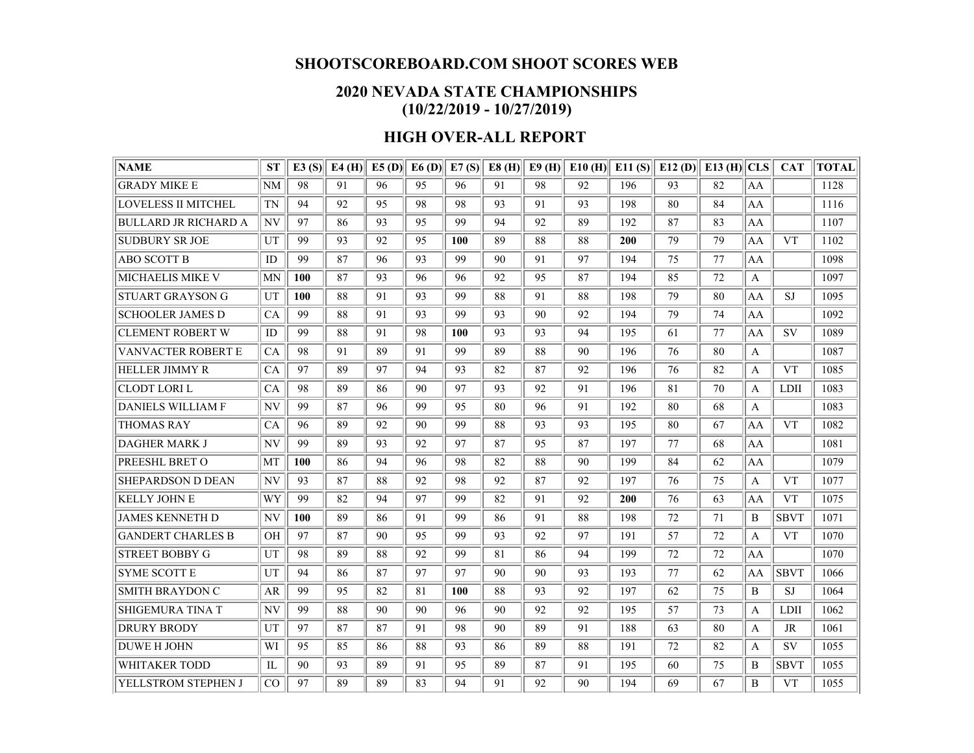## **SHOOTSCOREBOARD.COM SHOOT SCORES WEB**

## **2020 NEVADA STATE CHAMPIONSHIPS (10/22/2019 - 10/27/2019)**

## **HIGH OVER-ALL REPORT**

| <b>NAME</b>                 | <b>ST</b> | E3(S) | $E4$ (H) | $E5$ (D) | E6(D) | E7(S) | E8(H) | E9(H) | E10(H) | E11(S) | E12(D) | $E13$ (H) CLS |                  | <b>CAT</b>  | <b>TOTAL</b> |
|-----------------------------|-----------|-------|----------|----------|-------|-------|-------|-------|--------|--------|--------|---------------|------------------|-------------|--------------|
| <b>GRADY MIKE E</b>         | NM        | 98    | 91       | 96       | 95    | 96    | 91    | 98    | 92     | 196    | 93     | 82            | AA               |             | 1128         |
| <b>LOVELESS II MITCHEL</b>  | <b>TN</b> | 94    | 92       | 95       | 98    | 98    | 93    | 91    | 93     | 198    | 80     | 84            | AA               |             | 1116         |
| <b>BULLARD JR RICHARD A</b> | NV        | 97    | 86       | 93       | 95    | 99    | 94    | 92    | 89     | 192    | 87     | 83            | AA               |             | 1107         |
| <b>SUDBURY SR JOE</b>       | UT        | 99    | 93       | 92       | 95    | 100   | 89    | 88    | 88     | 200    | 79     | 79            | AA               | <b>VT</b>   | 1102         |
| <b>ABO SCOTT B</b>          | ID        | 99    | 87       | 96       | 93    | 99    | 90    | 91    | 97     | 194    | 75     | 77            | AA               |             | 1098         |
| <b>MICHAELIS MIKE V</b>     | MN        | 100   | 87       | 93       | 96    | 96    | 92    | 95    | 87     | 194    | 85     | 72            | $\mathbf{A}$     |             | 1097         |
| <b>STUART GRAYSON G</b>     | UT        | 100   | 88       | 91       | 93    | 99    | 88    | 91    | 88     | 198    | 79     | 80            | AA               | <b>SJ</b>   | 1095         |
| <b>SCHOOLER JAMES D</b>     | CA        | 99    | 88       | 91       | 93    | 99    | 93    | 90    | 92     | 194    | 79     | 74            | AA               |             | 1092         |
| <b>CLEMENT ROBERT W</b>     | ID        | 99    | 88       | 91       | 98    | 100   | 93    | 93    | 94     | 195    | 61     | 77            | AA               | <b>SV</b>   | 1089         |
| <b>VANVACTER ROBERT E</b>   | CA        | 98    | 91       | 89       | 91    | 99    | 89    | 88    | 90     | 196    | 76     | 80            | $\boldsymbol{A}$ |             | 1087         |
| <b>HELLER JIMMY R</b>       | CA        | 97    | 89       | 97       | 94    | 93    | 82    | 87    | 92     | 196    | 76     | 82            | $\mathsf{A}$     | <b>VT</b>   | 1085         |
| <b>CLODT LORI L</b>         | CA        | 98    | 89       | 86       | 90    | 97    | 93    | 92    | 91     | 196    | 81     | 70            | $\mathbf{A}$     | <b>LDII</b> | 1083         |
| <b>DANIELS WILLIAM F</b>    | NV        | 99    | 87       | 96       | 99    | 95    | 80    | 96    | 91     | 192    | 80     | 68            | $\mathbf{A}$     |             | 1083         |
| <b>THOMAS RAY</b>           | CA        | 96    | 89       | 92       | 90    | 99    | 88    | 93    | 93     | 195    | 80     | 67            | AA               | <b>VT</b>   | 1082         |
| <b>DAGHER MARK J</b>        | NV        | 99    | 89       | 93       | 92    | 97    | 87    | 95    | 87     | 197    | 77     | 68            | AA               |             | 1081         |
| PREESHL BRET O              | MT        | 100   | 86       | 94       | 96    | 98    | 82    | 88    | 90     | 199    | 84     | 62            | AA               |             | 1079         |
| <b>SHEPARDSON D DEAN</b>    | NV        | 93    | 87       | 88       | 92    | 98    | 92    | 87    | 92     | 197    | 76     | 75            | A                | <b>VT</b>   | 1077         |
| KELLY JOHN E                | WY        | 99    | 82       | 94       | 97    | 99    | 82    | 91    | 92     | 200    | 76     | 63            | AA               | <b>VT</b>   | 1075         |
| <b>JAMES KENNETH D</b>      | <b>NV</b> | 100   | 89       | 86       | 91    | 99    | 86    | 91    | 88     | 198    | 72     | 71            | B                | <b>SBVT</b> | 1071         |
| <b>GANDERT CHARLES B</b>    | OН        | 97    | 87       | 90       | 95    | 99    | 93    | 92    | 97     | 191    | 57     | 72            | $\mathbf{A}$     | <b>VT</b>   | 1070         |
| <b>STREET BOBBY G</b>       | UT        | 98    | 89       | 88       | 92    | 99    | 81    | 86    | 94     | 199    | 72     | 72            | AA               |             | 1070         |
| <b>SYME SCOTT E</b>         | UT        | 94    | 86       | 87       | 97    | 97    | 90    | 90    | 93     | 193    | 77     | 62            | AA               | <b>SBVT</b> | 1066         |
| <b>SMITH BRAYDON C</b>      | AR        | 99    | 95       | 82       | 81    | 100   | 88    | 93    | 92     | 197    | 62     | 75            | B                | <b>SJ</b>   | 1064         |
| <b>SHIGEMURA TINA T</b>     | NV        | 99    | 88       | 90       | 90    | 96    | 90    | 92    | 92     | 195    | 57     | 73            | A                | <b>LDII</b> | 1062         |
| DRURY BRODY                 | UT        | 97    | 87       | 87       | 91    | 98    | 90    | 89    | 91     | 188    | 63     | 80            | A                | JR          | 1061         |
| <b>DUWE H JOHN</b>          | WI        | 95    | 85       | 86       | 88    | 93    | 86    | 89    | 88     | 191    | 72     | 82            | $\mathbf{A}$     | SV          | 1055         |
| <b>WHITAKER TODD</b>        | IL        | 90    | 93       | 89       | 91    | 95    | 89    | 87    | 91     | 195    | 60     | 75            | B                | <b>SBVT</b> | 1055         |
| YELLSTROM STEPHEN J         | CO        | 97    | 89       | 89       | 83    | 94    | 91    | 92    | 90     | 194    | 69     | 67            | B                | <b>VT</b>   | 1055         |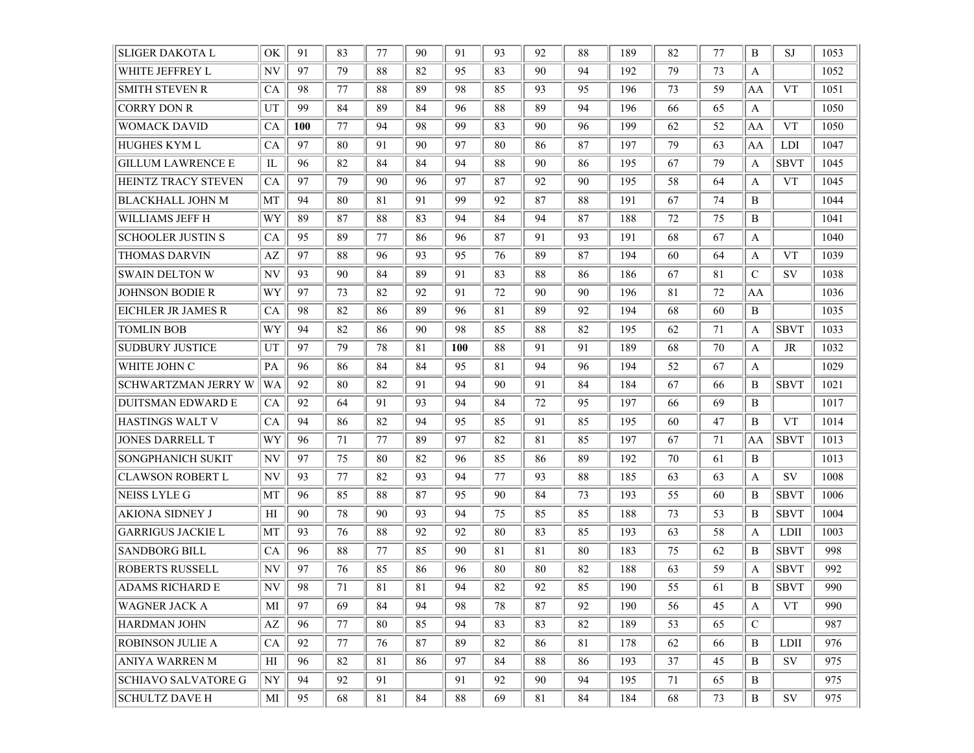| <b>SLIGER DAKOTA L</b>     | OK                       | 91  | 83 | 77     | 90 | 91         | 93 | 92 | 88 | 189 | 82 | 77 | B            | <b>SJ</b>   | 1053 |
|----------------------------|--------------------------|-----|----|--------|----|------------|----|----|----|-----|----|----|--------------|-------------|------|
| WHITE JEFFREY L            | NV                       | 97  | 79 | 88     | 82 | 95         | 83 | 90 | 94 | 192 | 79 | 73 | A            |             | 1052 |
| <b>SMITH STEVEN R</b>      | CA                       | 98  | 77 | 88     | 89 | 98         | 85 | 93 | 95 | 196 | 73 | 59 | AA           | <b>VT</b>   | 1051 |
| <b>CORRY DON R</b>         | UT                       | 99  | 84 | 89     | 84 | 96         | 88 | 89 | 94 | 196 | 66 | 65 | A            |             | 1050 |
| <b>WOMACK DAVID</b>        | CA                       | 100 | 77 | 94     | 98 | 99         | 83 | 90 | 96 | 199 | 62 | 52 | AA           | <b>VT</b>   | 1050 |
| HUGHES KYM L               | CA                       | 97  | 80 | 91     | 90 | 97         | 80 | 86 | 87 | 197 | 79 | 63 | AA           | LDI         | 1047 |
| <b>GILLUM LAWRENCE E</b>   | IL                       | 96  | 82 | 84     | 84 | 94         | 88 | 90 | 86 | 195 | 67 | 79 | A            | <b>SBVT</b> | 1045 |
| HEINTZ TRACY STEVEN        | CA                       | 97  | 79 | 90     | 96 | 97         | 87 | 92 | 90 | 195 | 58 | 64 | A            | <b>VT</b>   | 1045 |
| <b>BLACKHALL JOHN M</b>    | MT                       | 94  | 80 | 81     | 91 | 99         | 92 | 87 | 88 | 191 | 67 | 74 | B            |             | 1044 |
| WILLIAMS JEFF H            | WY                       | 89  | 87 | 88     | 83 | 94         | 84 | 94 | 87 | 188 | 72 | 75 | B            |             | 1041 |
| <b>SCHOOLER JUSTIN S</b>   | CA                       | 95  | 89 | 77     | 86 | 96         | 87 | 91 | 93 | 191 | 68 | 67 | A            |             | 1040 |
| <b>THOMAS DARVIN</b>       | AZ                       | 97  | 88 | 96     | 93 | 95         | 76 | 89 | 87 | 194 | 60 | 64 | A            | <b>VT</b>   | 1039 |
| <b>SWAIN DELTON W</b>      | NV                       | 93  | 90 | 84     | 89 | 91         | 83 | 88 | 86 | 186 | 67 | 81 | C            | <b>SV</b>   | 1038 |
| <b>JOHNSON BODIE R</b>     | WY                       | 97  | 73 | 82     | 92 | 91         | 72 | 90 | 90 | 196 | 81 | 72 | AA           |             | 1036 |
| EICHLER JR JAMES R         | CA                       | 98  | 82 | 86     | 89 | 96         | 81 | 89 | 92 | 194 | 68 | 60 | B            |             | 1035 |
| <b>TOMLIN BOB</b>          | WY                       | 94  | 82 | 86     | 90 | 98         | 85 | 88 | 82 | 195 | 62 | 71 | A            | <b>SBVT</b> | 1033 |
| <b>SUDBURY JUSTICE</b>     | UT                       | 97  | 79 | 78     | 81 | <b>100</b> | 88 | 91 | 91 | 189 | 68 | 70 | A            | <b>JR</b>   | 1032 |
| WHITE JOHN C               | PA                       | 96  | 86 | 84     | 84 | 95         | 81 | 94 | 96 | 194 | 52 | 67 | A            |             | 1029 |
| <b>SCHWARTZMAN JERRY W</b> | WA                       | 92  | 80 | 82     | 91 | 94         | 90 | 91 | 84 | 184 | 67 | 66 | B            | <b>SBVT</b> | 1021 |
| <b>DUITSMAN EDWARD E</b>   | CA                       | 92  | 64 | 91     | 93 | 94         | 84 | 72 | 95 | 197 | 66 | 69 | B            |             | 1017 |
| HASTINGS WALT V            | CA                       | 94  | 86 | 82     | 94 | 95         | 85 | 91 | 85 | 195 | 60 | 47 | B            | <b>VT</b>   | 1014 |
| <b>JONES DARRELL T</b>     | WY                       | 96  | 71 | 77     | 89 | 97         | 82 | 81 | 85 | 197 | 67 | 71 | AA           | <b>SBVT</b> | 1013 |
| SONGPHANICH SUKIT          | NV                       | 97  | 75 | 80     | 82 | 96         | 85 | 86 | 89 | 192 | 70 | 61 | B            |             | 1013 |
| <b>CLAWSON ROBERT L</b>    | NV                       | 93  | 77 | 82     | 93 | 94         | 77 | 93 | 88 | 185 | 63 | 63 | A            | <b>SV</b>   | 1008 |
| <b>NEISS LYLE G</b>        | MT                       | 96  | 85 | 88     | 87 | 95         | 90 | 84 | 73 | 193 | 55 | 60 | B            | <b>SBVT</b> | 1006 |
| <b>AKIONA SIDNEY J</b>     | H                        | 90  | 78 | 90     | 93 | 94         | 75 | 85 | 85 | 188 | 73 | 53 | B            | <b>SBVT</b> | 1004 |
| <b>GARRIGUS JACKIE L</b>   | MT                       | 93  | 76 | 88     | 92 | 92         | 80 | 83 | 85 | 193 | 63 | 58 | A            | LDII        | 1003 |
| <b>SANDBORG BILL</b>       | CA                       | 96  | 88 | 77     | 85 | 90         | 81 | 81 | 80 | 183 | 75 | 62 | B            | <b>SBVT</b> | 998  |
| ROBERTS RUSSELL            | NV                       | 97  | 76 | 85     | 86 | 96         | 80 | 80 | 82 | 188 | 63 | 59 | A            | <b>SBVT</b> | 992  |
| ADAMS RICHARD E            | NV                       | 98  | 71 | 81     | 81 | 94         | 82 | 92 | 85 | 190 | 55 | 61 | B            | <b>SBVT</b> | 990  |
| <b>WAGNER JACK A</b>       | MI                       | 97  | 69 | 84     | 94 | 98         | 78 | 87 | 92 | 190 | 56 | 45 | A            | <b>VT</b>   | 990  |
| <b>HARDMAN JOHN</b>        | $\mathbf{A}\mathbf{Z}$   | 96  | 77 | 80     | 85 | 94         | 83 | 83 | 82 | 189 | 53 | 65 | C            |             | 987  |
| <b>ROBINSON JULIE A</b>    | CA                       | 92  | 77 | 76     | 87 | 89         | 82 | 86 | 81 | 178 | 62 | 66 | B            | <b>LDII</b> | 976  |
| <b>ANIYA WARREN M</b>      | H                        | 96  | 82 | 81     | 86 | 97         | 84 | 88 | 86 | 193 | 37 | 45 | B            | SV          | 975  |
| <b>SCHIAVO SALVATORE G</b> | $\ensuremath{\text{NY}}$ | 94  | 92 | 91     |    | 91         | 92 | 90 | 94 | 195 | 71 | 65 | B            |             | 975  |
| <b>SCHULTZ DAVE H</b>      | MI                       | 95  | 68 | $81\,$ | 84 | 88         | 69 | 81 | 84 | 184 | 68 | 73 | $\, {\bf B}$ | SV          | 975  |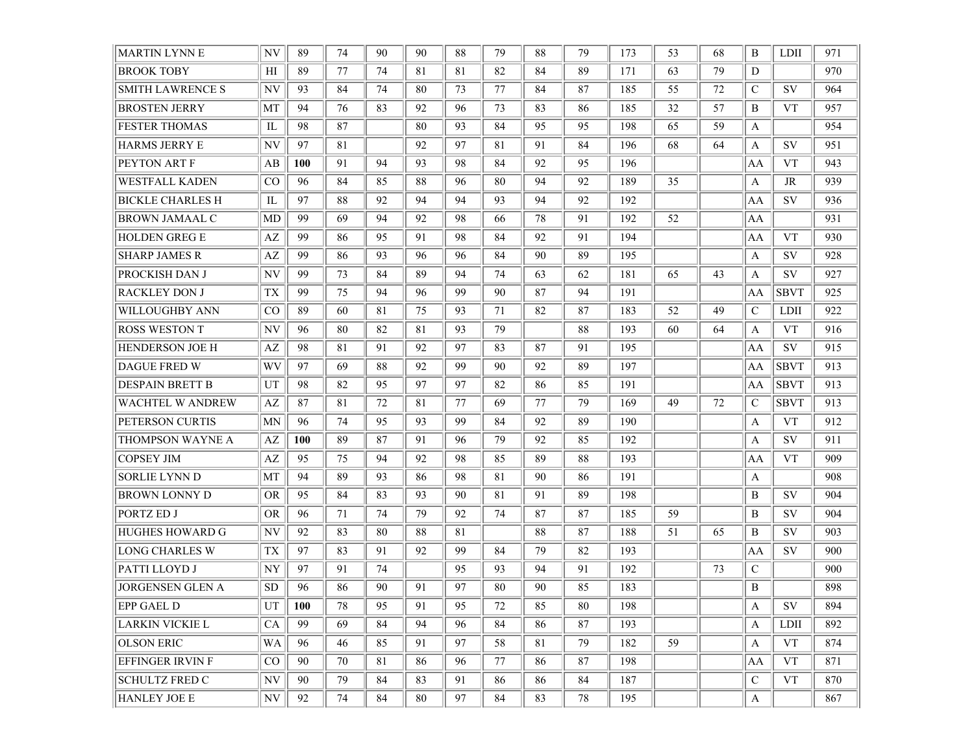| <b>MARTIN LYNN E</b>    | NV        | 89         | 74 | 90 | 90 | 88 | 79 | 88 | 79 | 173 | 53 | 68 | B             | LDII        | 971 |
|-------------------------|-----------|------------|----|----|----|----|----|----|----|-----|----|----|---------------|-------------|-----|
| <b>BROOK TOBY</b>       | HI        | 89         | 77 | 74 | 81 | 81 | 82 | 84 | 89 | 171 | 63 | 79 | D             |             | 970 |
| <b>SMITH LAWRENCE S</b> | NV        | 93         | 84 | 74 | 80 | 73 | 77 | 84 | 87 | 185 | 55 | 72 | C             | SV          | 964 |
| <b>BROSTEN JERRY</b>    | MT        | 94         | 76 | 83 | 92 | 96 | 73 | 83 | 86 | 185 | 32 | 57 | B             | <b>VT</b>   | 957 |
| <b>FESTER THOMAS</b>    | IL        | 98         | 87 |    | 80 | 93 | 84 | 95 | 95 | 198 | 65 | 59 | A             |             | 954 |
| HARMS JERRY E           | NV        | 97         | 81 |    | 92 | 97 | 81 | 91 | 84 | 196 | 68 | 64 | A             | <b>SV</b>   | 951 |
| PEYTON ART F            | AВ        | <b>100</b> | 91 | 94 | 93 | 98 | 84 | 92 | 95 | 196 |    |    | AA            | <b>VT</b>   | 943 |
| WESTFALL KADEN          | CO        | 96         | 84 | 85 | 88 | 96 | 80 | 94 | 92 | 189 | 35 |    | A             | JR          | 939 |
| BICKLE CHARLES H        | IL        | 97         | 88 | 92 | 94 | 94 | 93 | 94 | 92 | 192 |    |    | AA            | SV          | 936 |
| BROWN JAMAAL C          | MD        | 99         | 69 | 94 | 92 | 98 | 66 | 78 | 91 | 192 | 52 |    | AA            |             | 931 |
| HOLDEN GREG E           | AZ        | 99         | 86 | 95 | 91 | 98 | 84 | 92 | 91 | 194 |    |    | AA            | <b>VT</b>   | 930 |
| <b>SHARP JAMES R</b>    | AZ        | 99         | 86 | 93 | 96 | 96 | 84 | 90 | 89 | 195 |    |    | A             | SV          | 928 |
| PROCKISH DAN J          | NV        | 99         | 73 | 84 | 89 | 94 | 74 | 63 | 62 | 181 | 65 | 43 | A             | <b>SV</b>   | 927 |
| <b>RACKLEY DON J</b>    | <b>TX</b> | 99         | 75 | 94 | 96 | 99 | 90 | 87 | 94 | 191 |    |    | AA            | <b>SBVT</b> | 925 |
| WILLOUGHBY ANN          | CO        | 89         | 60 | 81 | 75 | 93 | 71 | 82 | 87 | 183 | 52 | 49 | $\mathcal{C}$ | LDII        | 922 |
| <b>ROSS WESTON T</b>    | NV        | 96         | 80 | 82 | 81 | 93 | 79 |    | 88 | 193 | 60 | 64 | A             | <b>VT</b>   | 916 |
| HENDERSON JOE H         | AZ        | 98         | 81 | 91 | 92 | 97 | 83 | 87 | 91 | 195 |    |    | AA            | <b>SV</b>   | 915 |
| DAGUE FRED W            | WV        | 97         | 69 | 88 | 92 | 99 | 90 | 92 | 89 | 197 |    |    | AA            | <b>SBVT</b> | 913 |
| DESPAIN BRETT B         | UT        | 98         | 82 | 95 | 97 | 97 | 82 | 86 | 85 | 191 |    |    | AA            | <b>SBVT</b> | 913 |
| WACHTEL W ANDREW        | AZ        | 87         | 81 | 72 | 81 | 77 | 69 | 77 | 79 | 169 | 49 | 72 | C             | <b>SBVT</b> | 913 |
| PETERSON CURTIS         | <b>MN</b> | 96         | 74 | 95 | 93 | 99 | 84 | 92 | 89 | 190 |    |    | A             | <b>VT</b>   | 912 |
| THOMPSON WAYNE A        | AZ        | <b>100</b> | 89 | 87 | 91 | 96 | 79 | 92 | 85 | 192 |    |    | A             | SV          | 911 |
| COPSEY JIM              | AZ        | 95         | 75 | 94 | 92 | 98 | 85 | 89 | 88 | 193 |    |    | AA            | <b>VT</b>   | 909 |
| <b>SORLIE LYNN D</b>    | MT        | 94         | 89 | 93 | 86 | 98 | 81 | 90 | 86 | 191 |    |    | A             |             | 908 |
| BROWN LONNY D           | <b>OR</b> | 95         | 84 | 83 | 93 | 90 | 81 | 91 | 89 | 198 |    |    | B             | <b>SV</b>   | 904 |
| PORTZ ED J              | <b>OR</b> | 96         | 71 | 74 | 79 | 92 | 74 | 87 | 87 | 185 | 59 |    | B             | <b>SV</b>   | 904 |
| <b>HUGHES HOWARD G</b>  | NV        | 92         | 83 | 80 | 88 | 81 |    | 88 | 87 | 188 | 51 | 65 | B             | <b>SV</b>   | 903 |
| <b>LONG CHARLES W</b>   | TX        | 97         | 83 | 91 | 92 | 99 | 84 | 79 | 82 | 193 |    |    | AA            | SV          | 900 |
| PATTI LLOYD J           | NY        | 97         | 91 | 74 |    | 95 | 93 | 94 | 91 | 192 |    | 73 | C             |             | 900 |
| <b>JORGENSEN GLEN A</b> | <b>SD</b> | 96         | 86 | 90 | 91 | 97 | 80 | 90 | 85 | 183 |    |    | B             |             | 898 |
| EPP GAEL D              | UT        | 100        | 78 | 95 | 91 | 95 | 72 | 85 | 80 | 198 |    |    | A             | SV          | 894 |
| LARKIN VICKIE L         | CA        | 99         | 69 | 84 | 94 | 96 | 84 | 86 | 87 | 193 |    |    | A             | LDII        | 892 |
| <b>OLSON ERIC</b>       | WA        | 96         | 46 | 85 | 91 | 97 | 58 | 81 | 79 | 182 | 59 |    | A             | <b>VT</b>   | 874 |
| EFFINGER IRVIN F        | $\rm CO$  | 90         | 70 | 81 | 86 | 96 | 77 | 86 | 87 | 198 |    |    | AA            | <b>VT</b>   | 871 |
| <b>SCHULTZ FRED C</b>   | NV        | 90         | 79 | 84 | 83 | 91 | 86 | 86 | 84 | 187 |    |    | C             | <b>VT</b>   | 870 |
| HANLEY JOE E            | N V       | 92         | 74 | 84 | 80 | 97 | 84 | 83 | 78 | 195 |    |    | A             |             | 867 |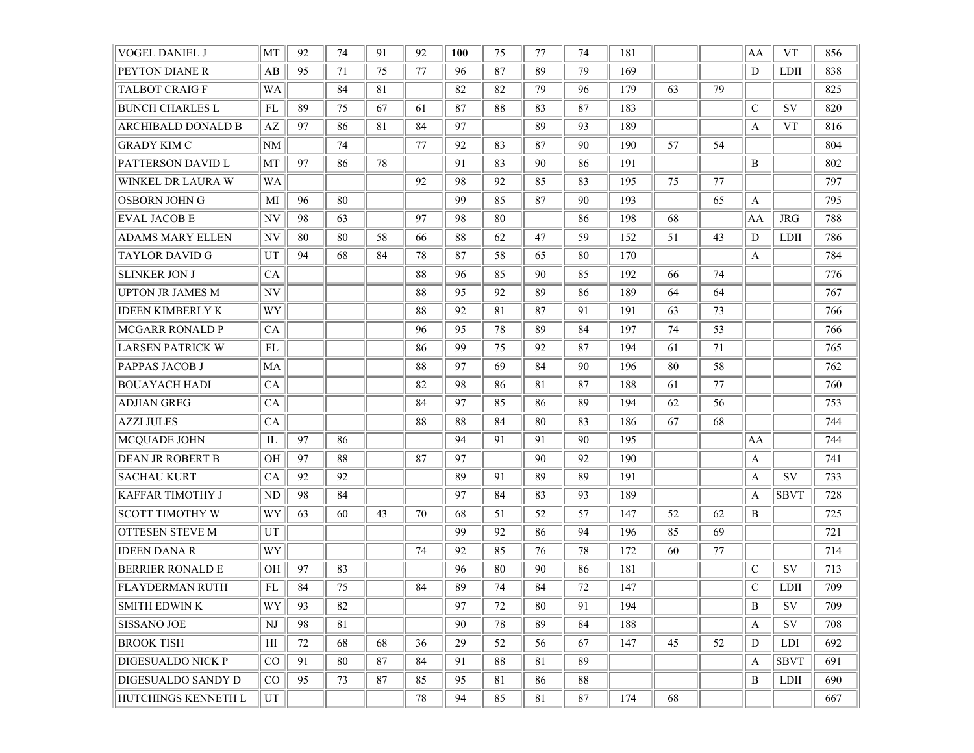| <b>VOGEL DANIEL J</b>     | MT        | 92 | 74 | 91 | 92 | 100 | 75 | 77 | 74 | 181 |    |    | AA            | <b>VT</b>   | 856 |
|---------------------------|-----------|----|----|----|----|-----|----|----|----|-----|----|----|---------------|-------------|-----|
| PEYTON DIANE R            | AB        | 95 | 71 | 75 | 77 | 96  | 87 | 89 | 79 | 169 |    |    | D             | <b>LDII</b> | 838 |
| <b>TALBOT CRAIG F</b>     | WA        |    | 84 | 81 |    | 82  | 82 | 79 | 96 | 179 | 63 | 79 |               |             | 825 |
| <b>BUNCH CHARLES L</b>    | FL        | 89 | 75 | 67 | 61 | 87  | 88 | 83 | 87 | 183 |    |    | $\mathcal{C}$ | <b>SV</b>   | 820 |
| ARCHIBALD DONALD B        | AZ        | 97 | 86 | 81 | 84 | 97  |    | 89 | 93 | 189 |    |    | A             | <b>VT</b>   | 816 |
| <b>GRADY KIM C</b>        | NM        |    | 74 |    | 77 | 92  | 83 | 87 | 90 | 190 | 57 | 54 |               |             | 804 |
| PATTERSON DAVID L         | MT        | 97 | 86 | 78 |    | 91  | 83 | 90 | 86 | 191 |    |    | $\, {\bf B}$  |             | 802 |
| WINKEL DR LAURA W         | <b>WA</b> |    |    |    | 92 | 98  | 92 | 85 | 83 | 195 | 75 | 77 |               |             | 797 |
| OSBORN JOHN G             | MI        | 96 | 80 |    |    | 99  | 85 | 87 | 90 | 193 |    | 65 | A             |             | 795 |
| <b>EVAL JACOB E</b>       | NV        | 98 | 63 |    | 97 | 98  | 80 |    | 86 | 198 | 68 |    | AA            | <b>JRG</b>  | 788 |
| <b>ADAMS MARY ELLEN</b>   | NV        | 80 | 80 | 58 | 66 | 88  | 62 | 47 | 59 | 152 | 51 | 43 | D             | <b>LDII</b> | 786 |
| <b>TAYLOR DAVID G</b>     | UT        | 94 | 68 | 84 | 78 | 87  | 58 | 65 | 80 | 170 |    |    | A             |             | 784 |
| <b>SLINKER JON J</b>      | <b>CA</b> |    |    |    | 88 | 96  | 85 | 90 | 85 | 192 | 66 | 74 |               |             | 776 |
| <b>UPTON JR JAMES M</b>   | NV        |    |    |    | 88 | 95  | 92 | 89 | 86 | 189 | 64 | 64 |               |             | 767 |
| <b>IDEEN KIMBERLY K</b>   | WY        |    |    |    | 88 | 92  | 81 | 87 | 91 | 191 | 63 | 73 |               |             | 766 |
| <b>MCGARR RONALD P</b>    | CA        |    |    |    | 96 | 95  | 78 | 89 | 84 | 197 | 74 | 53 |               |             | 766 |
| <b>LARSEN PATRICK W</b>   | FL        |    |    |    | 86 | 99  | 75 | 92 | 87 | 194 | 61 | 71 |               |             | 765 |
| PAPPAS JACOB J            | MA        |    |    |    | 88 | 97  | 69 | 84 | 90 | 196 | 80 | 58 |               |             | 762 |
| <b>BOUAYACH HADI</b>      | <b>CA</b> |    |    |    | 82 | 98  | 86 | 81 | 87 | 188 | 61 | 77 |               |             | 760 |
| <b>ADJIAN GREG</b>        | CA        |    |    |    | 84 | 97  | 85 | 86 | 89 | 194 | 62 | 56 |               |             | 753 |
| AZZI JULES                | <b>CA</b> |    |    |    | 88 | 88  | 84 | 80 | 83 | 186 | 67 | 68 |               |             | 744 |
| MCQUADE JOHN              | IL        | 97 | 86 |    |    | 94  | 91 | 91 | 90 | 195 |    |    | AA            |             | 744 |
| <b>DEAN JR ROBERT B</b>   | <b>OH</b> | 97 | 88 |    | 87 | 97  |    | 90 | 92 | 190 |    |    | $\mathbf{A}$  |             | 741 |
| <b>SACHAU KURT</b>        | CA        | 92 | 92 |    |    | 89  | 91 | 89 | 89 | 191 |    |    | A             | <b>SV</b>   | 733 |
| <b>KAFFAR TIMOTHY J</b>   | ND        | 98 | 84 |    |    | 97  | 84 | 83 | 93 | 189 |    |    | A             | <b>SBVT</b> | 728 |
| <b>SCOTT TIMOTHY W</b>    | WY        | 63 | 60 | 43 | 70 | 68  | 51 | 52 | 57 | 147 | 52 | 62 | B             |             | 725 |
| OTTESEN STEVE M           | UT        |    |    |    |    | -99 | 92 | 86 | 94 | 196 | 85 | 69 |               |             | 721 |
| <b>IDEEN DANA R</b>       | WY        |    |    |    | 74 | 92  | 85 | 76 | 78 | 172 | 60 | 77 |               |             | 714 |
| <b>BERRIER RONALD E</b>   | OН        | 97 | 83 |    |    | 96  | 80 | 90 | 86 | 181 |    |    | $\mathcal{C}$ | <b>SV</b>   | 713 |
| <b>FLAYDERMAN RUTH</b>    | FL        | 84 | 75 |    | 84 | 89  | 74 | 84 | 72 | 147 |    |    | $\mathcal{C}$ | <b>LDII</b> | 709 |
| <b>SMITH EDWIN K</b>      | WY        | 93 | 82 |    |    | 97  | 72 | 80 | 91 | 194 |    |    | B             | SV          | 709 |
| <b>SISSANO JOE</b>        | NJ        | 98 | 81 |    |    | 90  | 78 | 89 | 84 | 188 |    |    | A             | SV          | 708 |
| <b>BROOK TISH</b>         | H         | 72 | 68 | 68 | 36 | 29  | 52 | 56 | 67 | 147 | 45 | 52 | D             | <b>LDI</b>  | 692 |
| <b>DIGESUALDO NICK P</b>  | CO        | 91 | 80 | 87 | 84 | 91  | 88 | 81 | 89 |     |    |    | A             | <b>SBVT</b> | 691 |
| <b>DIGESUALDO SANDY D</b> | $\rm CO$  | 95 | 73 | 87 | 85 | 95  | 81 | 86 | 88 |     |    |    | B             | <b>LDII</b> | 690 |
| HUTCHINGS KENNETH L       | UT        |    |    |    | 78 | 94  | 85 | 81 | 87 | 174 | 68 |    |               |             | 667 |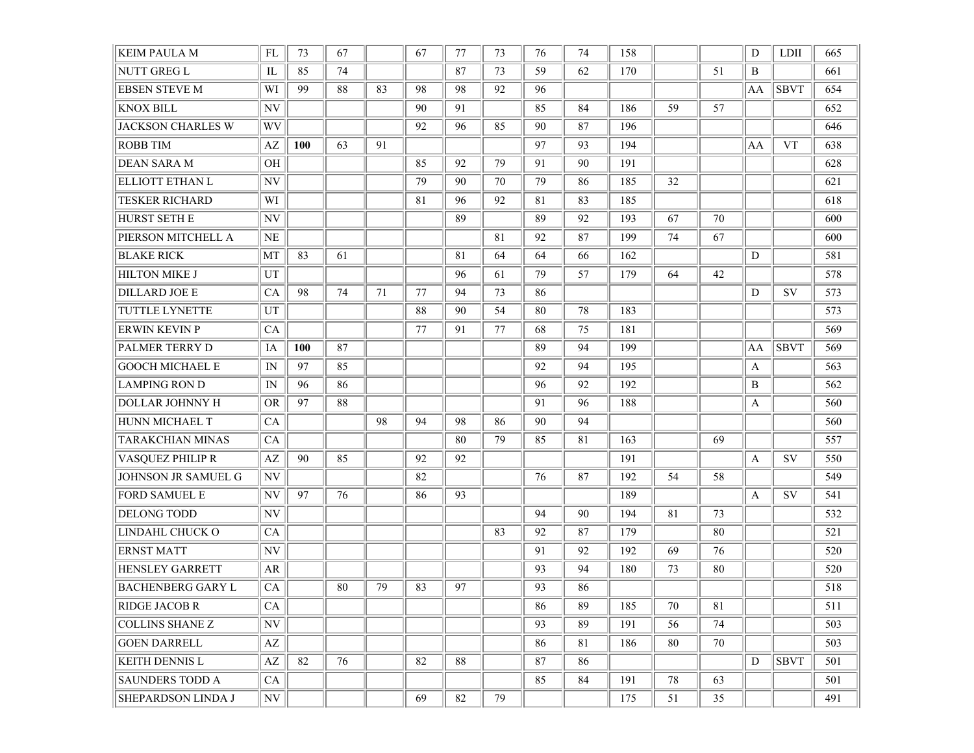| <b>KEIM PAULA M</b>       | FL                       | 73  | 67 |    | 67 | 77 | 73 | 76 | 74 | 158 |    |    | D  | <b>LDII</b> | 665 |
|---------------------------|--------------------------|-----|----|----|----|----|----|----|----|-----|----|----|----|-------------|-----|
| NUTT GREG L               | IL                       | 85  | 74 |    |    | 87 | 73 | 59 | 62 | 170 |    | 51 | B  |             | 661 |
| <b>EBSEN STEVE M</b>      | WI                       | 99  | 88 | 83 | 98 | 98 | 92 | 96 |    |     |    |    | AA | <b>SBVT</b> | 654 |
| <b>KNOX BILL</b>          | $\ensuremath{\text{NV}}$ |     |    |    | 90 | 91 |    | 85 | 84 | 186 | 59 | 57 |    |             | 652 |
| <b>JACKSON CHARLES W</b>  | WV                       |     |    |    | 92 | 96 | 85 | 90 | 87 | 196 |    |    |    |             | 646 |
| <b>ROBB TIM</b>           | $\mathbf{A}\mathbf{Z}$   | 100 | 63 | 91 |    |    |    | 97 | 93 | 194 |    |    | AA | <b>VT</b>   | 638 |
| DEAN SARA M               | OH                       |     |    |    | 85 | 92 | 79 | 91 | 90 | 191 |    |    |    |             | 628 |
| <b>ELLIOTT ETHAN L</b>    | $\ensuremath{\text{NV}}$ |     |    |    | 79 | 90 | 70 | 79 | 86 | 185 | 32 |    |    |             | 621 |
| <b>TESKER RICHARD</b>     | WI                       |     |    |    | 81 | 96 | 92 | 81 | 83 | 185 |    |    |    |             | 618 |
| HURST SETH E              | $\ensuremath{\text{NV}}$ |     |    |    |    | 89 |    | 89 | 92 | 193 | 67 | 70 |    |             | 600 |
| PIERSON MITCHELL A        | NE                       |     |    |    |    |    | 81 | 92 | 87 | 199 | 74 | 67 |    |             | 600 |
| <b>BLAKE RICK</b>         | MT                       | 83  | 61 |    |    | 81 | 64 | 64 | 66 | 162 |    |    | D  |             | 581 |
| HILTON MIKE J             | UT                       |     |    |    |    | 96 | 61 | 79 | 57 | 179 | 64 | 42 |    |             | 578 |
| <b>DILLARD JOE E</b>      | CA                       | 98  | 74 | 71 | 77 | 94 | 73 | 86 |    |     |    |    | D  | SV          | 573 |
| TUTTLE LYNETTE            | UT                       |     |    |    | 88 | 90 | 54 | 80 | 78 | 183 |    |    |    |             | 573 |
| <b>ERWIN KEVIN P</b>      | CA                       |     |    |    | 77 | 91 | 77 | 68 | 75 | 181 |    |    |    |             | 569 |
| PALMER TERRY D            | IA                       | 100 | 87 |    |    |    |    | 89 | 94 | 199 |    |    | AA | <b>SBVT</b> | 569 |
| <b>GOOCH MICHAEL E</b>    | IN                       | 97  | 85 |    |    |    |    | 92 | 94 | 195 |    |    | A  |             | 563 |
| <b>LAMPING RON D</b>      | IN                       | 96  | 86 |    |    |    |    | 96 | 92 | 192 |    |    | B  |             | 562 |
| DOLLAR JOHNNY H           | <b>OR</b>                | 97  | 88 |    |    |    |    | 91 | 96 | 188 |    |    | A  |             | 560 |
| HUNN MICHAEL T            | CA                       |     |    | 98 | 94 | 98 | 86 | 90 | 94 |     |    |    |    |             | 560 |
| TARAKCHIAN MINAS          | CA                       |     |    |    |    | 80 | 79 | 85 | 81 | 163 |    | 69 |    |             | 557 |
| VASQUEZ PHILIP R          | AZ                       | 90  | 85 |    | 92 | 92 |    |    |    | 191 |    |    | A  | SV          | 550 |
| JOHNSON JR SAMUEL G       | $\ensuremath{\text{NV}}$ |     |    |    | 82 |    |    | 76 | 87 | 192 | 54 | 58 |    |             | 549 |
| <b>FORD SAMUEL E</b>      | NV                       | 97  | 76 |    | 86 | 93 |    |    |    | 189 |    |    | A  | SV          | 541 |
| <b>DELONG TODD</b>        | $\ensuremath{\text{NV}}$ |     |    |    |    |    |    | 94 | 90 | 194 | 81 | 73 |    |             | 532 |
| LINDAHL CHUCK O           | CA                       |     |    |    |    |    | 83 | 92 | 87 | 179 |    | 80 |    |             | 521 |
| <b>ERNST MATT</b>         | $\ensuremath{\text{NV}}$ |     |    |    |    |    |    | 91 | 92 | 192 | 69 | 76 |    |             | 520 |
| <b>HENSLEY GARRETT</b>    | AR                       |     |    |    |    |    |    | 93 | 94 | 180 | 73 | 80 |    |             | 520 |
| <b>BACHENBERG GARY L</b>  | CA                       |     | 80 | 79 | 83 | 97 |    | 93 | 86 |     |    |    |    |             | 518 |
| <b>RIDGE JACOB R</b>      | CA                       |     |    |    |    |    |    | 86 | 89 | 185 | 70 | 81 |    |             | 511 |
| <b>COLLINS SHANE Z</b>    | $\ensuremath{\text{NV}}$ |     |    |    |    |    |    | 93 | 89 | 191 | 56 | 74 |    |             | 503 |
| <b>GOEN DARRELL</b>       | AZ                       |     |    |    |    |    |    | 86 | 81 | 186 | 80 | 70 |    |             | 503 |
| <b>KEITH DENNIS L</b>     | $\mathbf{A}\mathbf{Z}$   | 82  | 76 |    | 82 | 88 |    | 87 | 86 |     |    |    | D  | <b>SBVT</b> | 501 |
| <b>SAUNDERS TODD A</b>    | CA                       |     |    |    |    |    |    | 85 | 84 | 191 | 78 | 63 |    |             | 501 |
| <b>SHEPARDSON LINDA J</b> | N V                      |     |    |    | 69 | 82 | 79 |    |    | 175 | 51 | 35 |    |             | 491 |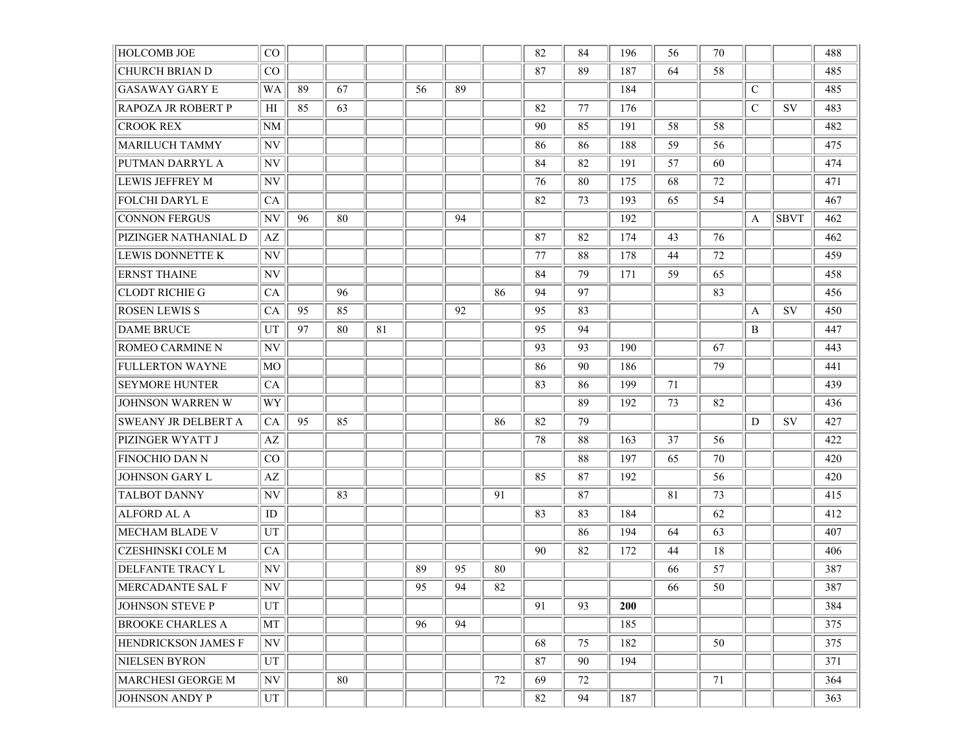| <b>HOLCOMB JOE</b>        | $\rm CO$                 |    |    |    |    |    |    | 82 | 84 | 196        | 56 | 70 |               |             | 488 |
|---------------------------|--------------------------|----|----|----|----|----|----|----|----|------------|----|----|---------------|-------------|-----|
| <b>CHURCH BRIAN D</b>     | $\rm CO$                 |    |    |    |    |    |    | 87 | 89 | 187        | 64 | 58 |               |             | 485 |
| <b>GASAWAY GARY E</b>     | WA                       | 89 | 67 |    | 56 | 89 |    |    |    | 184        |    |    | $\mathcal{C}$ |             | 485 |
| <b>RAPOZA JR ROBERT P</b> | HІ                       | 85 | 63 |    |    |    |    | 82 | 77 | 176        |    |    | $\mathcal{C}$ | <b>SV</b>   | 483 |
| <b>CROOK REX</b>          | NM                       |    |    |    |    |    |    | 90 | 85 | 191        | 58 | 58 |               |             | 482 |
| <b>MARILUCH TAMMY</b>     | NV                       |    |    |    |    |    |    | 86 | 86 | 188        | 59 | 56 |               |             | 475 |
| PUTMAN DARRYL A           | NV                       |    |    |    |    |    |    | 84 | 82 | 191        | 57 | 60 |               |             | 474 |
| <b>LEWIS JEFFREY M</b>    | NV                       |    |    |    |    |    |    | 76 | 80 | 175        | 68 | 72 |               |             | 471 |
| <b>FOLCHI DARYL E</b>     | CA                       |    |    |    |    |    |    | 82 | 73 | 193        | 65 | 54 |               |             | 467 |
| <b>CONNON FERGUS</b>      | NV                       | 96 | 80 |    |    | 94 |    |    |    | 192        |    |    | A             | <b>SBVT</b> | 462 |
| PIZINGER NATHANIAL D      | AZ                       |    |    |    |    |    |    | 87 | 82 | 174        | 43 | 76 |               |             | 462 |
| LEWIS DONNETTE K          | NV                       |    |    |    |    |    |    | 77 | 88 | 178        | 44 | 72 |               |             | 459 |
| <b>ERNST THAINE</b>       | NV                       |    |    |    |    |    |    | 84 | 79 | 171        | 59 | 65 |               |             | 458 |
| <b>CLODT RICHIE G</b>     | CA                       |    | 96 |    |    |    | 86 | 94 | 97 |            |    | 83 |               |             | 456 |
| <b>ROSEN LEWIS S</b>      | CA                       | 95 | 85 |    |    | 92 |    | 95 | 83 |            |    |    | A             | SV          | 450 |
| <b>DAME BRUCE</b>         | UT                       | 97 | 80 | 81 |    |    |    | 95 | 94 |            |    |    | B             |             | 447 |
| <b>ROMEO CARMINE N</b>    | NV                       |    |    |    |    |    |    | 93 | 93 | 190        |    | 67 |               |             | 443 |
| <b>FULLERTON WAYNE</b>    | MO                       |    |    |    |    |    |    | 86 | 90 | 186        |    | 79 |               |             | 441 |
| <b>SEYMORE HUNTER</b>     | CA                       |    |    |    |    |    |    | 83 | 86 | 199        | 71 |    |               |             | 439 |
| <b>JOHNSON WARREN W</b>   | WY                       |    |    |    |    |    |    |    | 89 | 192        | 73 | 82 |               |             | 436 |
| SWEANY JR DELBERT A       | CA                       | 95 | 85 |    |    |    | 86 | 82 | 79 |            |    |    | D             | SV          | 427 |
| PIZINGER WYATT J          | AZ                       |    |    |    |    |    |    | 78 | 88 | 163        | 37 | 56 |               |             | 422 |
| <b>FINOCHIO DAN N</b>     | CO                       |    |    |    |    |    |    |    | 88 | 197        | 65 | 70 |               |             | 420 |
| <b>JOHNSON GARY L</b>     | AZ                       |    |    |    |    |    |    | 85 | 87 | 192        |    | 56 |               |             | 420 |
| <b>TALBOT DANNY</b>       | NV                       |    | 83 |    |    |    | 91 |    | 87 |            | 81 | 73 |               |             | 415 |
| <b>ALFORD AL A</b>        | ID                       |    |    |    |    |    |    | 83 | 83 | 184        |    | 62 |               |             | 412 |
| MECHAM BLADE V            | UT                       |    |    |    |    |    |    |    | 86 | 194        | 64 | 63 |               |             | 407 |
| <b>CZESHINSKI COLE M</b>  | CA                       |    |    |    |    |    |    | 90 | 82 | 172        | 44 | 18 |               |             | 406 |
| <b>DELFANTE TRACY L</b>   | $\ensuremath{\text{NV}}$ |    |    |    | 89 | 95 | 80 |    |    |            | 66 | 57 |               |             | 387 |
| MERCADANTE SAL F          | NV                       |    |    |    | 95 | 94 | 82 |    |    |            | 66 | 50 |               |             | 387 |
| JOHNSON STEVE P           | UT                       |    |    |    |    |    |    | 91 | 93 | <b>200</b> |    |    |               |             | 384 |
| <b>BROOKE CHARLES A</b>   | MT                       |    |    |    | 96 | 94 |    |    |    | 185        |    |    |               |             | 375 |
| HENDRICKSON JAMES F       | N V                      |    |    |    |    |    |    | 68 | 75 | 182        |    | 50 |               |             | 375 |
| NIELSEN BYRON             | UT                       |    |    |    |    |    |    | 87 | 90 | 194        |    |    |               |             | 371 |
| <b>MARCHESI GEORGE M</b>  | NV                       |    | 80 |    |    |    | 72 | 69 | 72 |            |    | 71 |               |             | 364 |
| JOHNSON ANDY P            | UT                       |    |    |    |    |    |    | 82 | 94 | 187        |    |    |               |             | 363 |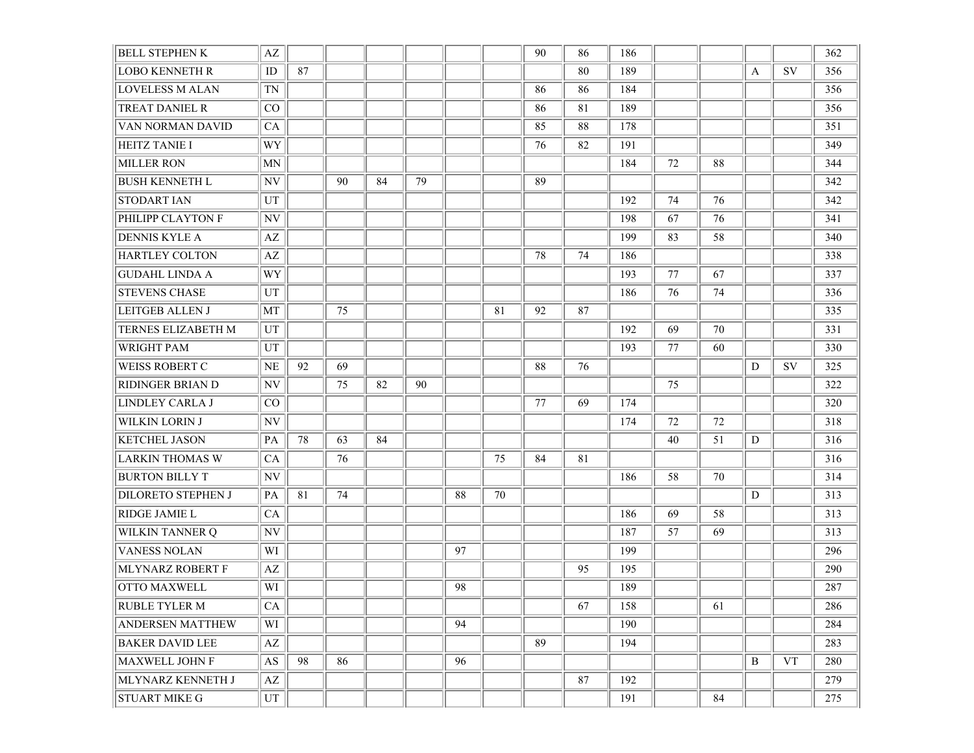| <b>BELL STEPHEN K</b>     | $\mathbf{A}\mathbf{Z}$ |    |    |    |    |    |    | 90 | 86 | 186 |    |    |   |           | 362 |
|---------------------------|------------------------|----|----|----|----|----|----|----|----|-----|----|----|---|-----------|-----|
| <b>LOBO KENNETH R</b>     | $\rm ID$               | 87 |    |    |    |    |    |    | 80 | 189 |    |    | A | SV        | 356 |
| <b>LOVELESS M ALAN</b>    | TN                     |    |    |    |    |    |    | 86 | 86 | 184 |    |    |   |           | 356 |
| TREAT DANIEL R            | CO                     |    |    |    |    |    |    | 86 | 81 | 189 |    |    |   |           | 356 |
| VAN NORMAN DAVID          | CA                     |    |    |    |    |    |    | 85 | 88 | 178 |    |    |   |           | 351 |
| <b>HEITZ TANIE I</b>      | WY                     |    |    |    |    |    |    | 76 | 82 | 191 |    |    |   |           | 349 |
| <b>MILLER RON</b>         | MN                     |    |    |    |    |    |    |    |    | 184 | 72 | 88 |   |           | 344 |
| <b>BUSH KENNETH L</b>     | NV                     |    | 90 | 84 | 79 |    |    | 89 |    |     |    |    |   |           | 342 |
| <b>STODART IAN</b>        | UT                     |    |    |    |    |    |    |    |    | 192 | 74 | 76 |   |           | 342 |
| PHILIPP CLAYTON F         | NV                     |    |    |    |    |    |    |    |    | 198 | 67 | 76 |   |           | 341 |
| <b>DENNIS KYLE A</b>      | AZ                     |    |    |    |    |    |    |    |    | 199 | 83 | 58 |   |           | 340 |
| <b>HARTLEY COLTON</b>     | AZ                     |    |    |    |    |    |    | 78 | 74 | 186 |    |    |   |           | 338 |
| GUDAHL LINDA A            | WY                     |    |    |    |    |    |    |    |    | 193 | 77 | 67 |   |           | 337 |
| <b>STEVENS CHASE</b>      | UT                     |    |    |    |    |    |    |    |    | 186 | 76 | 74 |   |           | 336 |
| <b>LEITGEB ALLEN J</b>    | MT                     |    | 75 |    |    |    | 81 | 92 | 87 |     |    |    |   |           | 335 |
| TERNES ELIZABETH M        | UT                     |    |    |    |    |    |    |    |    | 192 | 69 | 70 |   |           | 331 |
| <b>WRIGHT PAM</b>         | UT                     |    |    |    |    |    |    |    |    | 193 | 77 | 60 |   |           | 330 |
| <b>WEISS ROBERT C</b>     | $\rm NE$               | 92 | 69 |    |    |    |    | 88 | 76 |     |    |    | D | <b>SV</b> | 325 |
| <b>RIDINGER BRIAN D</b>   | NV                     |    | 75 | 82 | 90 |    |    |    |    |     | 75 |    |   |           | 322 |
| LINDLEY CARLA J           | CO                     |    |    |    |    |    |    | 77 | 69 | 174 |    |    |   |           | 320 |
| <b>WILKIN LORIN J</b>     | NV                     |    |    |    |    |    |    |    |    | 174 | 72 | 72 |   |           | 318 |
| <b>KETCHEL JASON</b>      | PA                     | 78 | 63 | 84 |    |    |    |    |    |     | 40 | 51 | D |           | 316 |
| <b>LARKIN THOMAS W</b>    | CA                     |    | 76 |    |    |    | 75 | 84 | 81 |     |    |    |   |           | 316 |
| <b>BURTON BILLY T</b>     | NV                     |    |    |    |    |    |    |    |    | 186 | 58 | 70 |   |           | 314 |
| <b>DILORETO STEPHEN J</b> | PA                     | 81 | 74 |    |    | 88 | 70 |    |    |     |    |    | D |           | 313 |
| <b>RIDGE JAMIE L</b>      | CA                     |    |    |    |    |    |    |    |    | 186 | 69 | 58 |   |           | 313 |
| <b>WILKIN TANNER Q</b>    | NV                     |    |    |    |    |    |    |    |    | 187 | 57 | 69 |   |           | 313 |
| <b>VANESS NOLAN</b>       | WI                     |    |    |    |    | 97 |    |    |    | 199 |    |    |   |           | 296 |
| <b>MLYNARZ ROBERT F</b>   | AZ                     |    |    |    |    |    |    |    | 95 | 195 |    |    |   |           | 290 |
| <b>OTTO MAXWELL</b>       | WI                     |    |    |    |    | 98 |    |    |    | 189 |    |    |   |           | 287 |
| <b>RUBLE TYLER M</b>      | CA                     |    |    |    |    |    |    |    | 67 | 158 |    | 61 |   |           | 286 |
| <b>ANDERSEN MATTHEW</b>   | WI                     |    |    |    |    | 94 |    |    |    | 190 |    |    |   |           | 284 |
| <b>BAKER DAVID LEE</b>    | $\mathbf{A}\mathbf{Z}$ |    |    |    |    |    |    | 89 |    | 194 |    |    |   |           | 283 |
| MAXWELL JOHN F            | AS                     | 98 | 86 |    |    | 96 |    |    |    |     |    |    | B | <b>VT</b> | 280 |
| MLYNARZ KENNETH J         | $\mathbf{A}\mathbf{Z}$ |    |    |    |    |    |    |    | 87 | 192 |    |    |   |           | 279 |
| <b>STUART MIKE G</b>      | UT                     |    |    |    |    |    |    |    |    | 191 |    | 84 |   |           | 275 |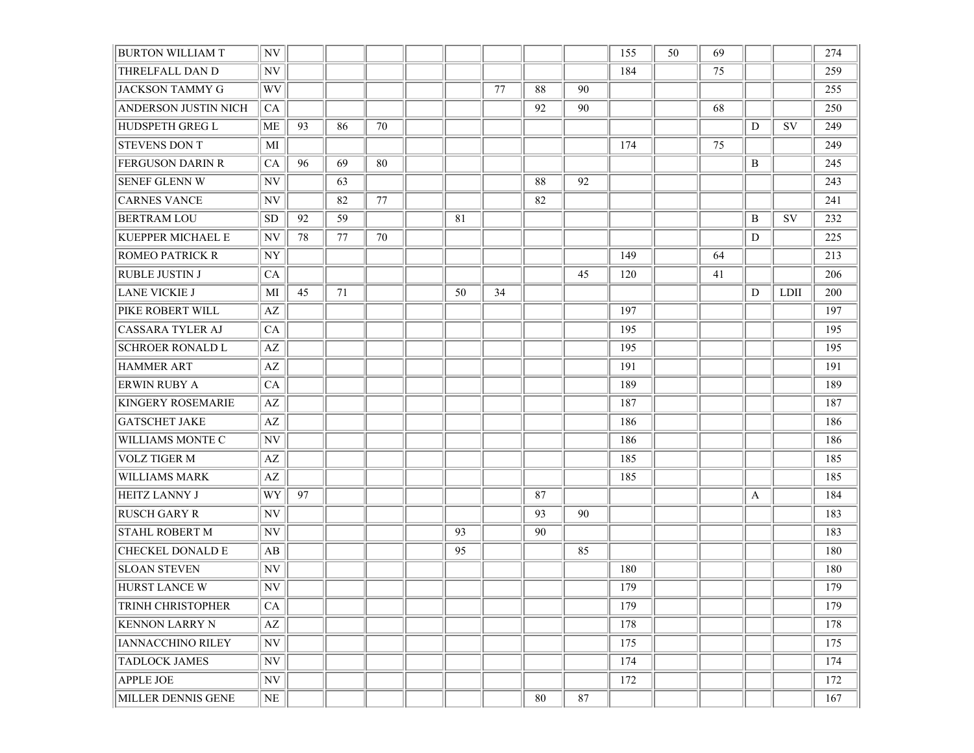| <b>BURTON WILLIAM T</b>     | $\ensuremath{\text{NV}}$ |    |    |    |    |    |    |        | 155 | 50 | 69 |   |      | 274 |
|-----------------------------|--------------------------|----|----|----|----|----|----|--------|-----|----|----|---|------|-----|
| THRELFALL DAN D             | NV                       |    |    |    |    |    |    |        | 184 |    | 75 |   |      | 259 |
| <b>JACKSON TAMMY G</b>      | WV                       |    |    |    |    | 77 | 88 | 90     |     |    |    |   |      | 255 |
| <b>ANDERSON JUSTIN NICH</b> | CA                       |    |    |    |    |    | 92 | 90     |     |    | 68 |   |      | 250 |
| <b>HUDSPETH GREG L</b>      | ME                       | 93 | 86 | 70 |    |    |    |        |     |    |    | D | SV   | 249 |
| <b>STEVENS DON T</b>        | MI                       |    |    |    |    |    |    |        | 174 |    | 75 |   |      | 249 |
| <b>FERGUSON DARIN R</b>     | CA                       | 96 | 69 | 80 |    |    |    |        |     |    |    | B |      | 245 |
| <b>SENEF GLENN W</b>        | NV                       |    | 63 |    |    |    | 88 | 92     |     |    |    |   |      | 243 |
| <b>CARNES VANCE</b>         | $\ensuremath{\text{NV}}$ |    | 82 | 77 |    |    | 82 |        |     |    |    |   |      | 241 |
| <b>BERTRAM LOU</b>          | SD.                      | 92 | 59 |    | 81 |    |    |        |     |    |    | B | SV   | 232 |
| <b>KUEPPER MICHAEL E</b>    | NV                       | 78 | 77 | 70 |    |    |    |        |     |    |    | D |      | 225 |
| <b>ROMEO PATRICK R</b>      | $\ensuremath{\text{NY}}$ |    |    |    |    |    |    |        | 149 |    | 64 |   |      | 213 |
| RUBLE JUSTIN J              | CA                       |    |    |    |    |    |    | 45     | 120 |    | 41 |   |      | 206 |
| <b>LANE VICKIE J</b>        | MI                       | 45 | 71 |    | 50 | 34 |    |        |     |    |    | D | LDII | 200 |
| PIKE ROBERT WILL            | $\mathbf{A}\mathbf{Z}$   |    |    |    |    |    |    |        | 197 |    |    |   |      | 197 |
| <b>CASSARA TYLER AJ</b>     | <b>CA</b>                |    |    |    |    |    |    |        | 195 |    |    |   |      | 195 |
| <b>SCHROER RONALD L</b>     | $\mathbf{A}\mathbf{Z}$   |    |    |    |    |    |    |        | 195 |    |    |   |      | 195 |
| <b>HAMMER ART</b>           | AZ                       |    |    |    |    |    |    |        | 191 |    |    |   |      | 191 |
| <b>ERWIN RUBY A</b>         | CA                       |    |    |    |    |    |    |        | 189 |    |    |   |      | 189 |
| <b>KINGERY ROSEMARIE</b>    | AZ                       |    |    |    |    |    |    |        | 187 |    |    |   |      | 187 |
| <b>GATSCHET JAKE</b>        | $\mathbf{A}\mathbf{Z}$   |    |    |    |    |    |    |        | 186 |    |    |   |      | 186 |
| WILLIAMS MONTE C            | NV                       |    |    |    |    |    |    |        | 186 |    |    |   |      | 186 |
| <b>VOLZ TIGER M</b>         | $\mathbf{A}\mathbf{Z}$   |    |    |    |    |    |    |        | 185 |    |    |   |      | 185 |
| WILLIAMS MARK               | AZ                       |    |    |    |    |    |    |        | 185 |    |    |   |      | 185 |
| <b>HEITZ LANNY J</b>        | <b>WY</b>                | 97 |    |    |    |    | 87 |        |     |    |    | A |      | 184 |
| <b>RUSCH GARY R</b>         | NV                       |    |    |    |    |    | 93 | 90     |     |    |    |   |      | 183 |
| <b>STAHL ROBERT M</b>       | $\ensuremath{\text{NV}}$ |    |    |    | 93 |    | 90 |        |     |    |    |   |      | 183 |
| <b>CHECKEL DONALD E</b>     | AB                       |    |    |    | 95 |    |    | 85     |     |    |    |   |      | 180 |
| <b>SLOAN STEVEN</b>         | $\ensuremath{\text{NV}}$ |    |    |    |    |    |    |        | 180 |    |    |   |      | 180 |
| <b>HURST LANCE W</b>        | NV                       |    |    |    |    |    |    |        | 179 |    |    |   |      | 179 |
| TRINH CHRISTOPHER           | CA                       |    |    |    |    |    |    |        | 179 |    |    |   |      | 179 |
| <b>KENNON LARRY N</b>       | AZ                       |    |    |    |    |    |    |        | 178 |    |    |   |      | 178 |
| <b>IANNACCHINO RILEY</b>    | NV                       |    |    |    |    |    |    |        | 175 |    |    |   |      | 175 |
| <b>TADLOCK JAMES</b>        | NV                       |    |    |    |    |    |    |        | 174 |    |    |   |      | 174 |
| <b>APPLE JOE</b>            | N <sub>V</sub>           |    |    |    |    |    |    |        | 172 |    |    |   |      | 172 |
| MILLER DENNIS GENE          | $\rm NE$                 |    |    |    |    |    | 80 | $87\,$ |     |    |    |   |      | 167 |